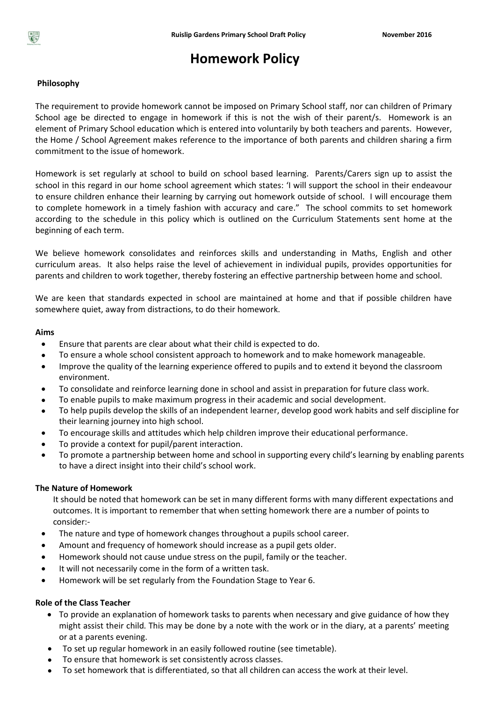

# **Homework Policy**

## **Philosophy**

The requirement to provide homework cannot be imposed on Primary School staff, nor can children of Primary School age be directed to engage in homework if this is not the wish of their parent/s. Homework is an element of Primary School education which is entered into voluntarily by both teachers and parents. However, the Home / School Agreement makes reference to the importance of both parents and children sharing a firm commitment to the issue of homework.

Homework is set regularly at school to build on school based learning. Parents/Carers sign up to assist the school in this regard in our home school agreement which states: 'I will support the school in their endeavour to ensure children enhance their learning by carrying out homework outside of school. I will encourage them to complete homework in a timely fashion with accuracy and care." The school commits to set homework according to the schedule in this policy which is outlined on the Curriculum Statements sent home at the beginning of each term.

We believe homework consolidates and reinforces skills and understanding in Maths, English and other curriculum areas. It also helps raise the level of achievement in individual pupils, provides opportunities for parents and children to work together, thereby fostering an effective partnership between home and school.

We are keen that standards expected in school are maintained at home and that if possible children have somewhere quiet, away from distractions, to do their homework.

#### **Aims**

- Ensure that parents are clear about what their child is expected to do.
- To ensure a whole school consistent approach to homework and to make homework manageable.
- Improve the quality of the learning experience offered to pupils and to extend it beyond the classroom environment.
- To consolidate and reinforce learning done in school and assist in preparation for future class work.
- To enable pupils to make maximum progress in their academic and social development.
- To help pupils develop the skills of an independent learner, develop good work habits and self discipline for their learning journey into high school.
- To encourage skills and attitudes which help children improve their educational performance.
- To provide a context for pupil/parent interaction.
- To promote a partnership between home and school in supporting every child's learning by enabling parents to have a direct insight into their child's school work.

#### **The Nature of Homework**

It should be noted that homework can be set in many different forms with many different expectations and outcomes. It is important to remember that when setting homework there are a number of points to consider:-

- The nature and type of homework changes throughout a pupils school career.
- Amount and frequency of homework should increase as a pupil gets older.
- Homework should not cause undue stress on the pupil, family or the teacher.
- It will not necessarily come in the form of a written task.
- Homework will be set regularly from the Foundation Stage to Year 6.

### **Role of the Class Teacher**

- To provide an explanation of homework tasks to parents when necessary and give guidance of how they might assist their child. This may be done by a note with the work or in the diary, at a parents' meeting or at a parents evening.
- To set up regular homework in an easily followed routine (see timetable).
- To ensure that homework is set consistently across classes.
- To set homework that is differentiated, so that all children can access the work at their level.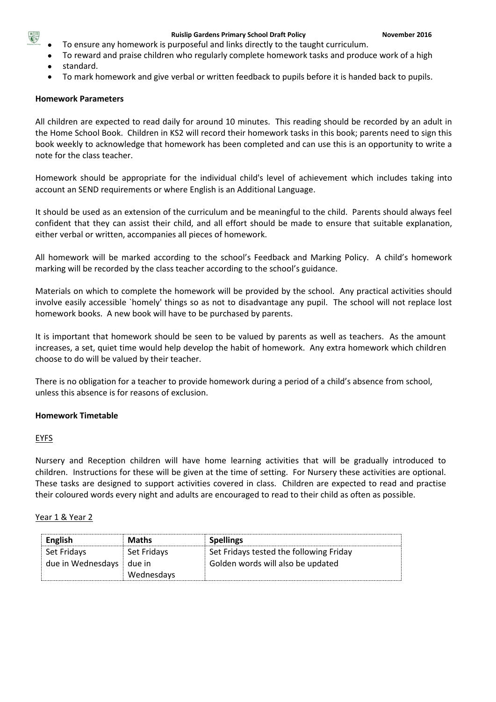

- To ensure any homework is purposeful and links directly to the taught curriculum.
- To reward and praise children who regularly complete homework tasks and produce work of a high
- standard.
- To mark homework and give verbal or written feedback to pupils before it is handed back to pupils.

## **Homework Parameters**

All children are expected to read daily for around 10 minutes. This reading should be recorded by an adult in the Home School Book. Children in KS2 will record their homework tasks in this book; parents need to sign this book weekly to acknowledge that homework has been completed and can use this is an opportunity to write a note for the class teacher.

Homework should be appropriate for the individual child's level of achievement which includes taking into account an SEND requirements or where English is an Additional Language.

It should be used as an extension of the curriculum and be meaningful to the child. Parents should always feel confident that they can assist their child, and all effort should be made to ensure that suitable explanation, either verbal or written, accompanies all pieces of homework.

All homework will be marked according to the school's Feedback and Marking Policy. A child's homework marking will be recorded by the class teacher according to the school's guidance.

Materials on which to complete the homework will be provided by the school. Any practical activities should involve easily accessible `homely' things so as not to disadvantage any pupil. The school will not replace lost homework books. A new book will have to be purchased by parents.

It is important that homework should be seen to be valued by parents as well as teachers. As the amount increases, a set, quiet time would help develop the habit of homework. Any extra homework which children choose to do will be valued by their teacher.

There is no obligation for a teacher to provide homework during a period of a child's absence from school, unless this absence is for reasons of exclusion.

## **Homework Timetable**

#### EYFS

Nursery and Reception children will have home learning activities that will be gradually introduced to children. Instructions for these will be given at the time of setting. For Nursery these activities are optional. These tasks are designed to support activities covered in class. Children are expected to read and practise their coloured words every night and adults are encouraged to read to their child as often as possible.

#### Year 1 & Year 2

| <b>English</b>             | <b>Maths</b> | <b>Spellings</b>                        |
|----------------------------|--------------|-----------------------------------------|
| Set Fridays                | Set Fridays  | Set Fridays tested the following Friday |
| due in Wednesdays   due in |              | Golden words will also be updated       |
|                            | Wednesdays   |                                         |